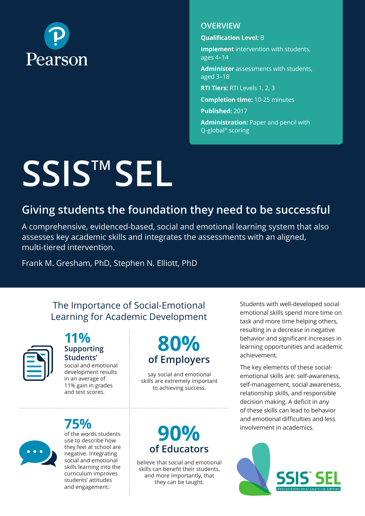

#### **OVERVIEW**

**Qualification Level:** B

**Implement** intervention with students, ages 4–14

**Administer** assessments with students, aged 3–18

**RTI Tiers:** RTI Levels 1, 2, 3

**Completion time:** 10-25 minutes

**Published:** 2017

**Administration:** Paper and pencil with Q-global® scoring

# **SSISTM SEL**

## **Giving students the foundation they need to be successful**

A comprehensive, evidenced-based, social and emotional learning system that also assesses key academic skills and integrates the assessments with an aligned, multi-tiered intervention.

Frank M. Gresham, PhD, Stephen N. Elliott, PhD

#### The Importance of Social-Emotional Learning for Academic Development



#### **11% Supporting Students'** social and emotional

development results in an average of 11% gain in grades and test scores.

# **75%**



of the words students use to describe how they feel at school are negative. Integrating social and emotional skills learning into the curriculum improves students' attitudes and engagement.

# **80% of Employers**

say social and emotional skills are extremely important to achieving success.

# **90% of Educators**

believe that social and emotional skills can benefit their students, and more importantly, that they can be taught.

Students with well-developed social emotional skills spend more time on task and more time helping others, resulting in a decrease in negative behavior and significant increases in learning opportunities and academic achievement.

The key elements of these socialemotional skills are: self-awareness, self-management, social awareness, relationship skills, and responsible decision making. A deficit in any of these skills can lead to behavior and emotional difficulties and less involvement in academics.

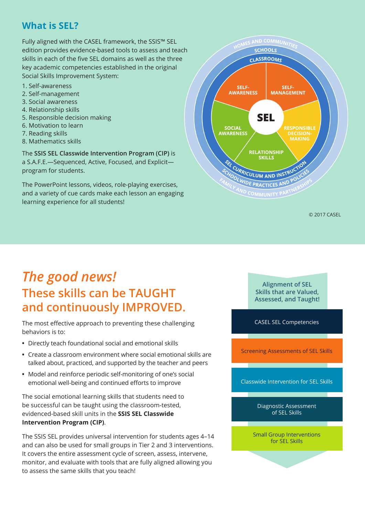#### **What is SEL?**

Fully aligned with the CASEL framework, the SSIS™ SEL edition provides evidence-based tools to assess and teach skills in each of the five SEL domains as well as the three key academic competencies established in the original Social Skills Improvement System:

- 1. Self-awareness
- 2. Self-management
- 3. Social awareness
- 4. Relationship skills
- 5. Responsible decision making
- 6. Motivation to learn
- 7. Reading skills
- 8. Mathematics skills

The **SSIS SEL Classwide Intervention Program (CIP)** is a S.A.F.E.—Sequenced, Active, Focused, and Explicit program for students.

The PowerPoint lessons, videos, role-playing exercises, and a variety of cue cards make each lesson an engaging learning experience for all students!



© 2017 CASEL

# *The good news!*  **These skills can be TAUGHT and continuously IMPROVED.**

The most effective approach to preventing these challenging behaviors is to:

- **•** Directly teach foundational social and emotional skills
- **•** Create a classroom environment where social emotional skills are talked about, practiced, and supported by the teacher and peers
- **•** Model and reinforce periodic self-monitoring of one's social emotional well-being and continued efforts to improve

The social emotional learning skills that students need to be successful can be taught using the classroom-tested, evidenced-based skill units in the **SSIS SEL Classwide Intervention Program (CIP)**.

The SSIS SEL provides universal intervention for students ages 4–14 and can also be used for small groups in Tier 2 and 3 interventions. It covers the entire assessment cycle of screen, assess, intervene, monitor, and evaluate with tools that are fully aligned allowing you to assess the same skills that you teach!

**Alignment of SEL Skills that are Valued, Assessed, and Taught!**

CASEL SEL Competencies

Screening Assessments of SEL Skills

Classwide Intervention for SEL Skills

Diagnostic Assessment of SEL Skills

Small Group Interventions for SEL Skills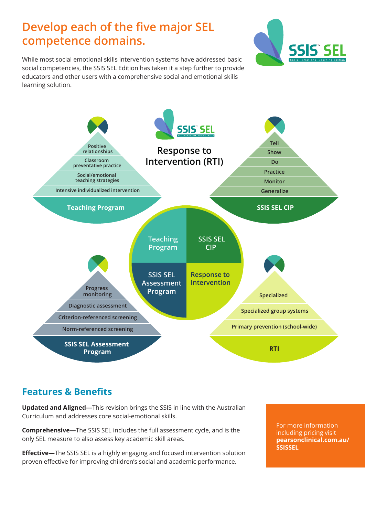# **Develop each of the five major SEL competence domains.**



While most social emotional skills intervention systems have addressed basic social competencies, the SSIS SEL Edition has taken it a step further to provide educators and other users with a comprehensive social and emotional skills learning solution.



#### **Features & Benefits**

**Updated and Aligned—**This revision brings the SSIS in line with the Australian Curriculum and addresses core social-emotional skills.

**Comprehensive—**The SSIS SEL includes the full assessment cycle, and is the only SEL measure to also assess key academic skill areas.

**Effective—**The SSIS SEL is a highly engaging and focused intervention solution proven effective for improving children's social and academic performance.

For more information including pricing visit **[pearsonclinical.com.au/](http://pearsonclinical.com.au/SSISSEL) [SSISSEL](http://pearsonclinical.com.au/SSISSEL)**